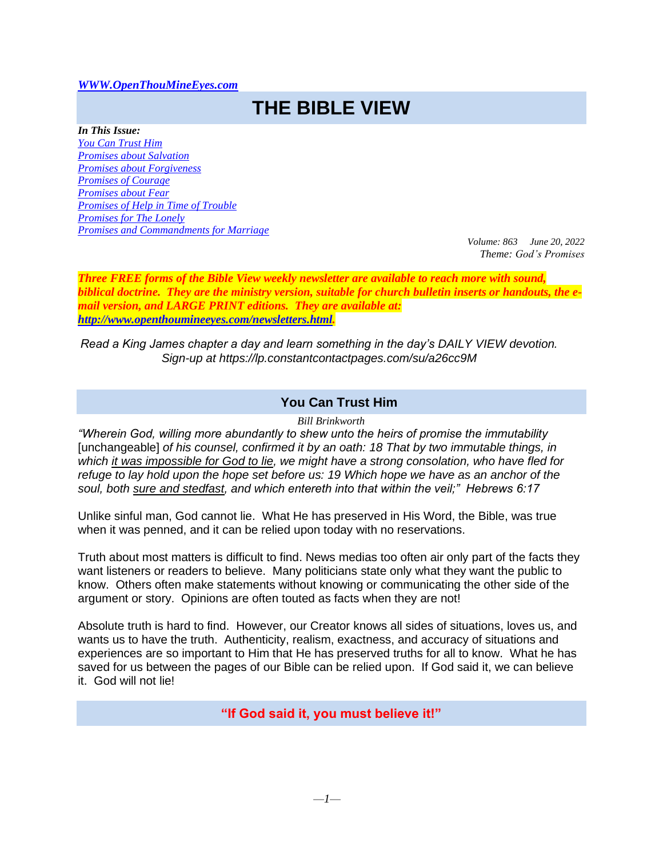#### *[WWW.OpenThouMineEyes.com](http://www.openthoumineeyes.com/)*

# **THE BIBLE VIEW**

*In This Issue: [You Can Trust Him](#page-0-0) [Promises about Salvation](#page-1-0) [Promises about Forgiveness](#page-1-1) [Promises of Courage](#page-1-2) [Promises about Fear](#page-2-0) Promises of [Help in Time of Trouble](#page-2-1) [Promises for The Lonely](#page-2-2) [Promises and Commandments for Marriage](#page-3-0)*

*Volume: 863 June 20, 2022 Theme: God's Promises*

*Three FREE forms of the Bible View weekly newsletter are available to reach more with sound, biblical doctrine. They are the ministry version, suitable for church bulletin inserts or handouts, the email version, and LARGE PRINT editions. They are available at: [http://www.openthoumineeyes.com/newsletters.html.](http://www.openthoumineeyes.com/newsletters.html)* 

*Read a King James chapter a day and learn something in the day's DAILY VIEW devotion. Sign-up at https://lp.constantcontactpages.com/su/a26cc9M*

## **You Can Trust Him**

*Bill Brinkworth*

<span id="page-0-0"></span>*"Wherein God, willing more abundantly to shew unto the heirs of promise the immutability* [unchangeable] *of his counsel, confirmed it by an oath: 18 That by two immutable things, in which it was impossible for God to lie, we might have a strong consolation, who have fled for refuge to lay hold upon the hope set before us: 19 Which hope we have as an anchor of the soul, both sure and stedfast, and which entereth into that within the veil;" Hebrews 6:17*

Unlike sinful man, God cannot lie. What He has preserved in His Word, the Bible, was true when it was penned, and it can be relied upon today with no reservations.

Truth about most matters is difficult to find. News medias too often air only part of the facts they want listeners or readers to believe. Many politicians state only what they want the public to know. Others often make statements without knowing or communicating the other side of the argument or story. Opinions are often touted as facts when they are not!

Absolute truth is hard to find. However, our Creator knows all sides of situations, loves us, and wants us to have the truth. Authenticity, realism, exactness, and accuracy of situations and experiences are so important to Him that He has preserved truths for all to know. What he has saved for us between the pages of our Bible can be relied upon. If God said it, we can believe it. God will not lie!

**"If God said it, you must believe it!"**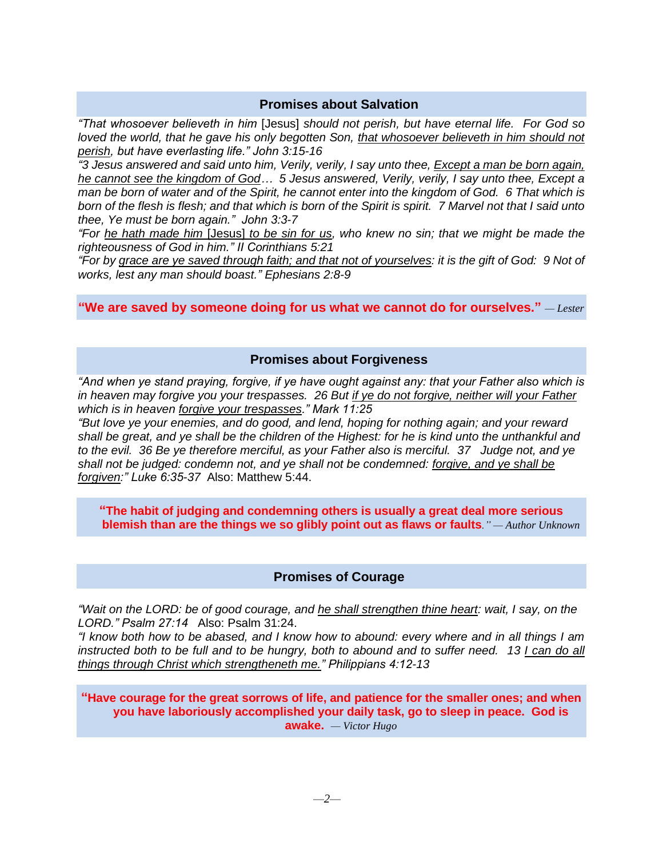## **Promises about Salvation**

<span id="page-1-0"></span>*"That whosoever believeth in him* [Jesus] *should not perish, but have eternal life. For God so loved the world, that he gave his only begotten Son, that whosoever believeth in him should not perish, but have everlasting life." John 3:15-16*

*"3 Jesus answered and said unto him, Verily, verily, I say unto thee, Except a man be born again, he cannot see the kingdom of God… 5 Jesus answered, Verily, verily, I say unto thee, Except a man be born of water and of the Spirit, he cannot enter into the kingdom of God. 6 That which is born of the flesh is flesh; and that which is born of the Spirit is spirit. 7 Marvel not that I said unto thee, Ye must be born again." John 3:3-7*

*"For he hath made him* [Jesus] *to be sin for us, who knew no sin; that we might be made the righteousness of God in him." II Corinthians 5:21*

*"For by grace are ye saved through faith; and that not of yourselves: it is the gift of God: 9 Not of works, lest any man should boast." Ephesians 2:8-9*

**"We are saved by someone doing for us what we cannot do for ourselves."** *— Lester*

### **Promises about Forgiveness**

<span id="page-1-1"></span>*"And when ye stand praying, forgive, if ye have ought against any: that your Father also which is in heaven may forgive you your trespasses. 26 But if ye do not forgive, neither will your Father which is in heaven forgive your trespasses." Mark 11:25*

*"But love ye your enemies, and do good, and lend, hoping for nothing again; and your reward shall be great, and ye shall be the children of the Highest: for he is kind unto the unthankful and to the evil. 36 Be ye therefore merciful, as your Father also is merciful. 37 Judge not, and ye shall not be judged: condemn not, and ye shall not be condemned: forgive, and ye shall be forgiven:" Luke 6:35-37* Also: Matthew 5:44.

**"The habit of judging and condemning others is usually a great deal more serious blemish than are the things we so glibly point out as flaws or faults***." — Author Unknown*

### **Promises of Courage**

<span id="page-1-2"></span>*"Wait on the LORD: be of good courage, and he shall strengthen thine heart: wait, I say, on the LORD." Psalm 27:14* Also: Psalm 31:24.

*"I know both how to be abased, and I know how to abound: every where and in all things I am instructed both to be full and to be hungry, both to abound and to suffer need. 13 I can do all things through Christ which strengtheneth me." Philippians 4:12-13* 

**"Have courage for the great sorrows of life, and patience for the smaller ones; and when you have laboriously accomplished your daily task, go to sleep in peace. God is awake.** *— Victor Hugo*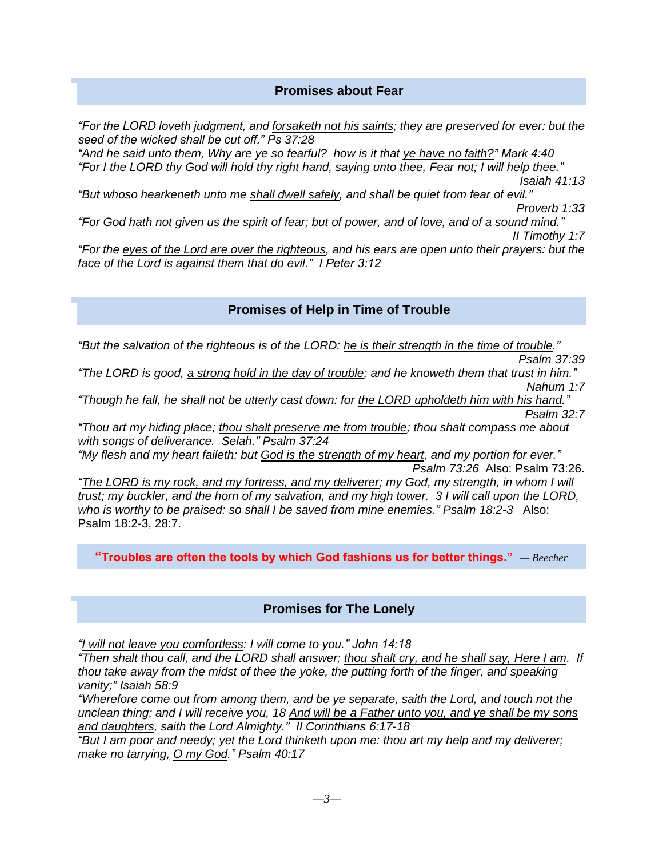## **Promises about Fear**

<span id="page-2-0"></span>*"For the LORD loveth judgment, and forsaketh not his saints; they are preserved for ever: but the seed of the wicked shall be cut off." Ps 37:28*

*"And he said unto them, Why are ye so fearful? how is it that ye have no faith?" Mark 4:40 "For I the LORD thy God will hold thy right hand, saying unto thee, Fear not; I will help thee." Isaiah 41:13 "But whoso hearkeneth unto me shall dwell safely, and shall be quiet from fear of evil."* 

*Proverb 1:33 "For God hath not given us the spirit of fear; but of power, and of love, and of a sound mind."* 

*II Timothy 1:7*

*"For the eyes of the Lord are over the righteous, and his ears are open unto their prayers: but the face of the Lord is against them that do evil." I Peter 3:12*

## **Promises of Help in Time of Trouble**

<span id="page-2-1"></span>*"But the salvation of the righteous is of the LORD: he is their strength in the time of trouble."* 

*Psalm 37:39 "The LORD is good, a strong hold in the day of trouble; and he knoweth them that trust in him." Nahum 1:7*

*"Though he fall, he shall not be utterly cast down: for the LORD upholdeth him with his hand." Psalm 32:7*

*"Thou art my hiding place; thou shalt preserve me from trouble; thou shalt compass me about with songs of deliverance. Selah." Psalm 37:24*

*"My flesh and my heart faileth: but God is the strength of my heart, and my portion for ever." Psalm 73:26* Also: Psalm 73:26.

*"The LORD is my rock, and my fortress, and my deliverer; my God, my strength, in whom I will trust; my buckler, and the horn of my salvation, and my high tower. 3 I will call upon the LORD, who is worthy to be praised: so shall I be saved from mine enemies." Psalm 18:2-3* Also: Psalm 18:2-3, 28:7.

**"Troubles are often the tools by which God fashions us for better things."** *— Beecher*

## **Promises for The Lonely**

<span id="page-2-2"></span>*"I will not leave you comfortless: I will come to you." John 14:18*

*"Then shalt thou call, and the LORD shall answer; thou shalt cry, and he shall say, Here I am. If thou take away from the midst of thee the yoke, the putting forth of the finger, and speaking vanity;" Isaiah 58:9*

*"Wherefore come out from among them, and be ye separate, saith the Lord, and touch not the unclean thing; and I will receive you, 18 And will be a Father unto you, and ye shall be my sons and daughters, saith the Lord Almighty." II Corinthians 6:17-18*

*"But I am poor and needy; yet the Lord thinketh upon me: thou art my help and my deliverer; make no tarrying, O my God." Psalm 40:17*